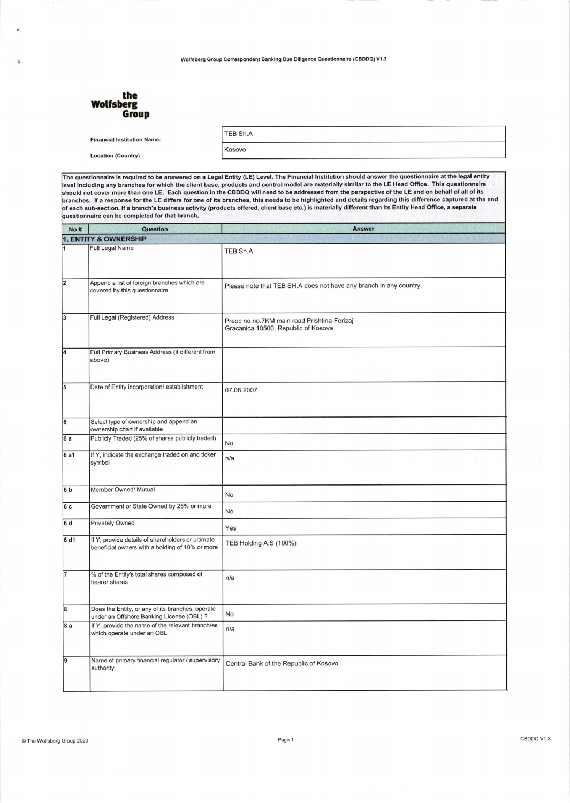Wolfsberg Group Correspondent Banking Due Diligence Questionnaire (CBDDQ) V1.3

| the<br>Wolfsberg<br>Group          |                 |  |
|------------------------------------|-----------------|--|
| <b>Financial Institution Name:</b> | <b>TEB Sh.A</b> |  |
| <b>Location (Country):</b>         | Kosovo          |  |
|                                    |                 |  |

The questionnaire is required to be answered on a Legal Entity (LE) Level. The Financial Institution should answer the questionnaire at the legal entity including any branches for which the client base, products and control model are materially similar to the LE Head Orfice. This questionnaire not cover more than one LE. Each question in the CBDDQ will need to be addressed from the perspective of the LE and on behalf of all of its<br>؛s. If a response for the LE differs for one of its branches, this needs to be h each sub-section. lf a branch's business activity (products offered, client base etc.) is materially different than its Entity Head Office, a separate can be completed for that branch.

| No#            | <b>Question</b>                                                                                      | <b>Answer</b>                                                                      |  |  |  |
|----------------|------------------------------------------------------------------------------------------------------|------------------------------------------------------------------------------------|--|--|--|
|                | <b>1. ENTITY &amp; OWNERSHIP</b>                                                                     |                                                                                    |  |  |  |
| 1              | <b>Full Legal Name</b>                                                                               | TEB Sh.A                                                                           |  |  |  |
| $\overline{2}$ | Append a list of foreign branches which are<br>covered by this questionnaire                         | Please note that TEB SH.A does not have any branch in any country.                 |  |  |  |
| 3              | Full Legal (Registered) Address                                                                      | Preoc no no.7KM main road Prishtina-Ferizaj<br>Gracanica 10500, Republic of Kosova |  |  |  |
| 4              | Full Primary Business Address (if different from<br>above)                                           |                                                                                    |  |  |  |
| 5              | Date of Entity incorporation/ establishment                                                          | 07.08.2007                                                                         |  |  |  |
| 6              | Select type of ownership and append an<br>ownership chart if available                               |                                                                                    |  |  |  |
| 6a             | Publicly Traded (25% of shares publicly traded)                                                      | No                                                                                 |  |  |  |
| 6a1            | If Y, indicate the exchange traded on and ticker<br>symbol                                           | n/a                                                                                |  |  |  |
| 6 <sub>b</sub> | Member Owned/ Mutual                                                                                 | No                                                                                 |  |  |  |
| 6c             | Government or State Owned by 25% or more                                                             | No                                                                                 |  |  |  |
| 6 d            | Privately Owned                                                                                      | Yes                                                                                |  |  |  |
| 6 d1           | If Y, provide details of shareholders or ultimate<br>beneficial owners with a holding of 10% or more | TEB Holding A.S (100%)                                                             |  |  |  |
| 7              | % of the Entity's total shares composed of<br>bearer shares                                          | n/a                                                                                |  |  |  |
| 8              | Does the Entity, or any of its branches, operate<br>under an Offshore Banking License (OBL) ?        | No                                                                                 |  |  |  |
| 8 a            | If Y, provide the name of the relevant branch/es<br>which operate under an OBL                       | n/a                                                                                |  |  |  |
| 9              | Name of primary financial regulator / supervisory<br>authority                                       | Central Bank of the Republic of Kosovo                                             |  |  |  |
|                |                                                                                                      |                                                                                    |  |  |  |